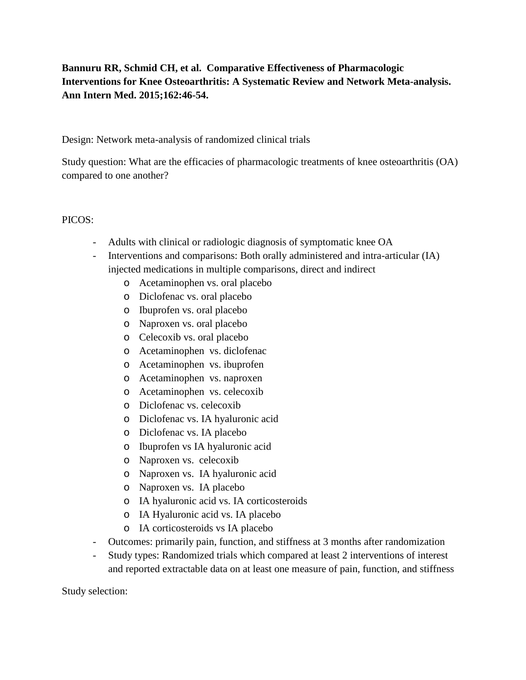# **Bannuru RR, Schmid CH, et al. Comparative Effectiveness of Pharmacologic Interventions for Knee Osteoarthritis: A Systematic Review and Network Meta-analysis. Ann Intern Med. 2015;162:46-54.**

Design: Network meta-analysis of randomized clinical trials

Study question: What are the efficacies of pharmacologic treatments of knee osteoarthritis (OA) compared to one another?

#### PICOS:

- Adults with clinical or radiologic diagnosis of symptomatic knee OA
- Interventions and comparisons: Both orally administered and intra-articular (IA) injected medications in multiple comparisons, direct and indirect
	- o Acetaminophen vs. oral placebo
	- o Diclofenac vs. oral placebo
	- o Ibuprofen vs. oral placebo
	- o Naproxen vs. oral placebo
	- o Celecoxib vs. oral placebo
	- o Acetaminophen vs. diclofenac
	- o Acetaminophen vs. ibuprofen
	- o Acetaminophen vs. naproxen
	- o Acetaminophen vs. celecoxib
	- o Diclofenac vs. celecoxib
	- o Diclofenac vs. IA hyaluronic acid
	- o Diclofenac vs. IA placebo
	- o Ibuprofen vs IA hyaluronic acid
	- o Naproxen vs. celecoxib
	- o Naproxen vs. IA hyaluronic acid
	- o Naproxen vs. IA placebo
	- o IA hyaluronic acid vs. IA corticosteroids
	- o IA Hyaluronic acid vs. IA placebo
	- o IA corticosteroids vs IA placebo
- Outcomes: primarily pain, function, and stiffness at 3 months after randomization
- Study types: Randomized trials which compared at least 2 interventions of interest and reported extractable data on at least one measure of pain, function, and stiffness

Study selection: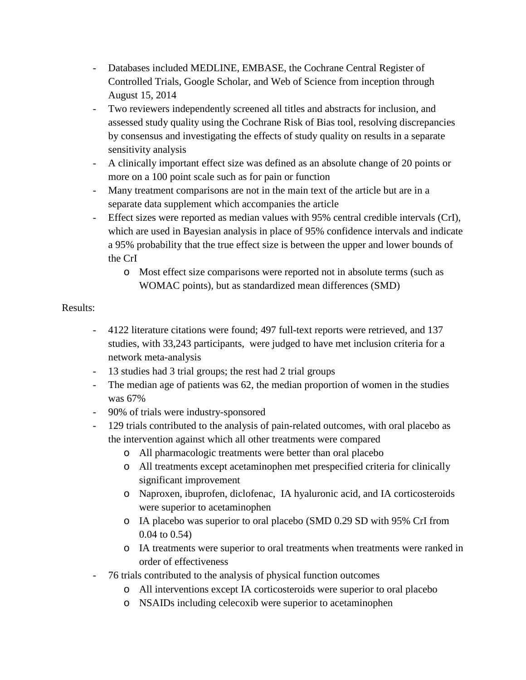- Databases included MEDLINE, EMBASE, the Cochrane Central Register of Controlled Trials, Google Scholar, and Web of Science from inception through August 15, 2014
- Two reviewers independently screened all titles and abstracts for inclusion, and assessed study quality using the Cochrane Risk of Bias tool, resolving discrepancies by consensus and investigating the effects of study quality on results in a separate sensitivity analysis
- A clinically important effect size was defined as an absolute change of 20 points or more on a 100 point scale such as for pain or function
- Many treatment comparisons are not in the main text of the article but are in a separate data supplement which accompanies the article
- Effect sizes were reported as median values with 95% central credible intervals (CrI), which are used in Bayesian analysis in place of 95% confidence intervals and indicate a 95% probability that the true effect size is between the upper and lower bounds of the CrI
	- o Most effect size comparisons were reported not in absolute terms (such as WOMAC points), but as standardized mean differences (SMD)

## Results:

- 4122 literature citations were found; 497 full-text reports were retrieved, and 137 studies, with 33,243 participants, were judged to have met inclusion criteria for a network meta-analysis
- 13 studies had 3 trial groups; the rest had 2 trial groups
- The median age of patients was 62, the median proportion of women in the studies was 67%
- 90% of trials were industry-sponsored
- 129 trials contributed to the analysis of pain-related outcomes, with oral placebo as the intervention against which all other treatments were compared
	- o All pharmacologic treatments were better than oral placebo
	- o All treatments except acetaminophen met prespecified criteria for clinically significant improvement
	- o Naproxen, ibuprofen, diclofenac, IA hyaluronic acid, and IA corticosteroids were superior to acetaminophen
	- o IA placebo was superior to oral placebo (SMD 0.29 SD with 95% CrI from 0.04 to 0.54)
	- o IA treatments were superior to oral treatments when treatments were ranked in order of effectiveness
- 76 trials contributed to the analysis of physical function outcomes
	- o All interventions except IA corticosteroids were superior to oral placebo
	- o NSAIDs including celecoxib were superior to acetaminophen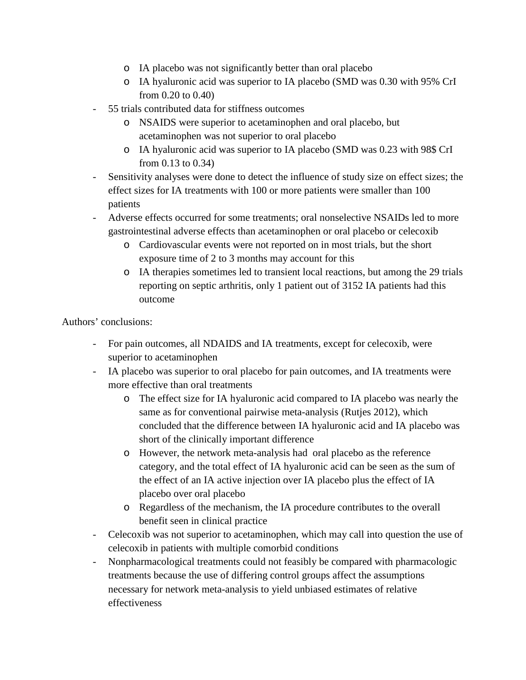- o IA placebo was not significantly better than oral placebo
- o IA hyaluronic acid was superior to IA placebo (SMD was 0.30 with 95% CrI from 0.20 to 0.40)
- 55 trials contributed data for stiffness outcomes
	- o NSAIDS were superior to acetaminophen and oral placebo, but acetaminophen was not superior to oral placebo
	- o IA hyaluronic acid was superior to IA placebo (SMD was 0.23 with 98\$ CrI from 0.13 to 0.34)
- Sensitivity analyses were done to detect the influence of study size on effect sizes; the effect sizes for IA treatments with 100 or more patients were smaller than 100 patients
- Adverse effects occurred for some treatments; oral nonselective NSAIDs led to more gastrointestinal adverse effects than acetaminophen or oral placebo or celecoxib
	- o Cardiovascular events were not reported on in most trials, but the short exposure time of 2 to 3 months may account for this
	- o IA therapies sometimes led to transient local reactions, but among the 29 trials reporting on septic arthritis, only 1 patient out of 3152 IA patients had this outcome

Authors' conclusions:

- For pain outcomes, all NDAIDS and IA treatments, except for celecoxib, were superior to acetaminophen
- IA placebo was superior to oral placebo for pain outcomes, and IA treatments were more effective than oral treatments
	- o The effect size for IA hyaluronic acid compared to IA placebo was nearly the same as for conventional pairwise meta-analysis (Rutjes 2012), which concluded that the difference between IA hyaluronic acid and IA placebo was short of the clinically important difference
	- o However, the network meta-analysis had oral placebo as the reference category, and the total effect of IA hyaluronic acid can be seen as the sum of the effect of an IA active injection over IA placebo plus the effect of IA placebo over oral placebo
	- o Regardless of the mechanism, the IA procedure contributes to the overall benefit seen in clinical practice
- Celecoxib was not superior to acetaminophen, which may call into question the use of celecoxib in patients with multiple comorbid conditions
- Nonpharmacological treatments could not feasibly be compared with pharmacologic treatments because the use of differing control groups affect the assumptions necessary for network meta-analysis to yield unbiased estimates of relative effectiveness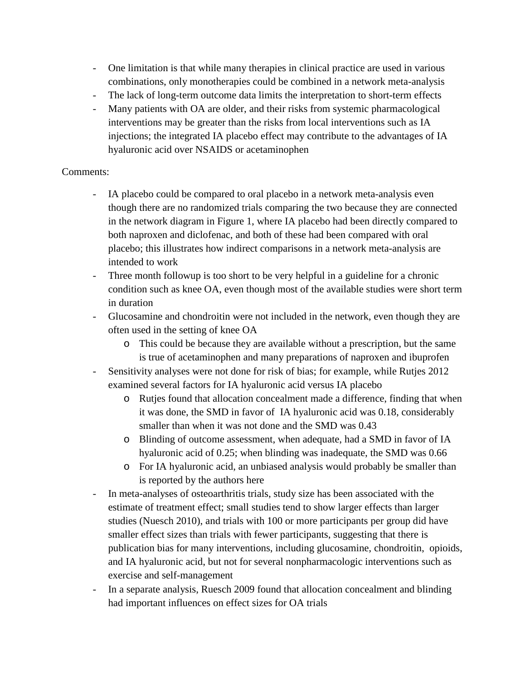- One limitation is that while many therapies in clinical practice are used in various combinations, only monotherapies could be combined in a network meta-analysis
- The lack of long-term outcome data limits the interpretation to short-term effects
- Many patients with OA are older, and their risks from systemic pharmacological interventions may be greater than the risks from local interventions such as IA injections; the integrated IA placebo effect may contribute to the advantages of IA hyaluronic acid over NSAIDS or acetaminophen

## Comments:

- IA placebo could be compared to oral placebo in a network meta-analysis even though there are no randomized trials comparing the two because they are connected in the network diagram in Figure 1, where IA placebo had been directly compared to both naproxen and diclofenac, and both of these had been compared with oral placebo; this illustrates how indirect comparisons in a network meta-analysis are intended to work
- Three month followup is too short to be very helpful in a guideline for a chronic condition such as knee OA, even though most of the available studies were short term in duration
- Glucosamine and chondroitin were not included in the network, even though they are often used in the setting of knee OA
	- o This could be because they are available without a prescription, but the same is true of acetaminophen and many preparations of naproxen and ibuprofen
- Sensitivity analyses were not done for risk of bias; for example, while Rutjes 2012 examined several factors for IA hyaluronic acid versus IA placebo
	- o Rutjes found that allocation concealment made a difference, finding that when it was done, the SMD in favor of IA hyaluronic acid was 0.18, considerably smaller than when it was not done and the SMD was 0.43
	- o Blinding of outcome assessment, when adequate, had a SMD in favor of IA hyaluronic acid of 0.25; when blinding was inadequate, the SMD was 0.66
	- o For IA hyaluronic acid, an unbiased analysis would probably be smaller than is reported by the authors here
- In meta-analyses of osteoarthritis trials, study size has been associated with the estimate of treatment effect; small studies tend to show larger effects than larger studies (Nuesch 2010), and trials with 100 or more participants per group did have smaller effect sizes than trials with fewer participants, suggesting that there is publication bias for many interventions, including glucosamine, chondroitin, opioids, and IA hyaluronic acid, but not for several nonpharmacologic interventions such as exercise and self-management
- In a separate analysis, Ruesch 2009 found that allocation concealment and blinding had important influences on effect sizes for OA trials